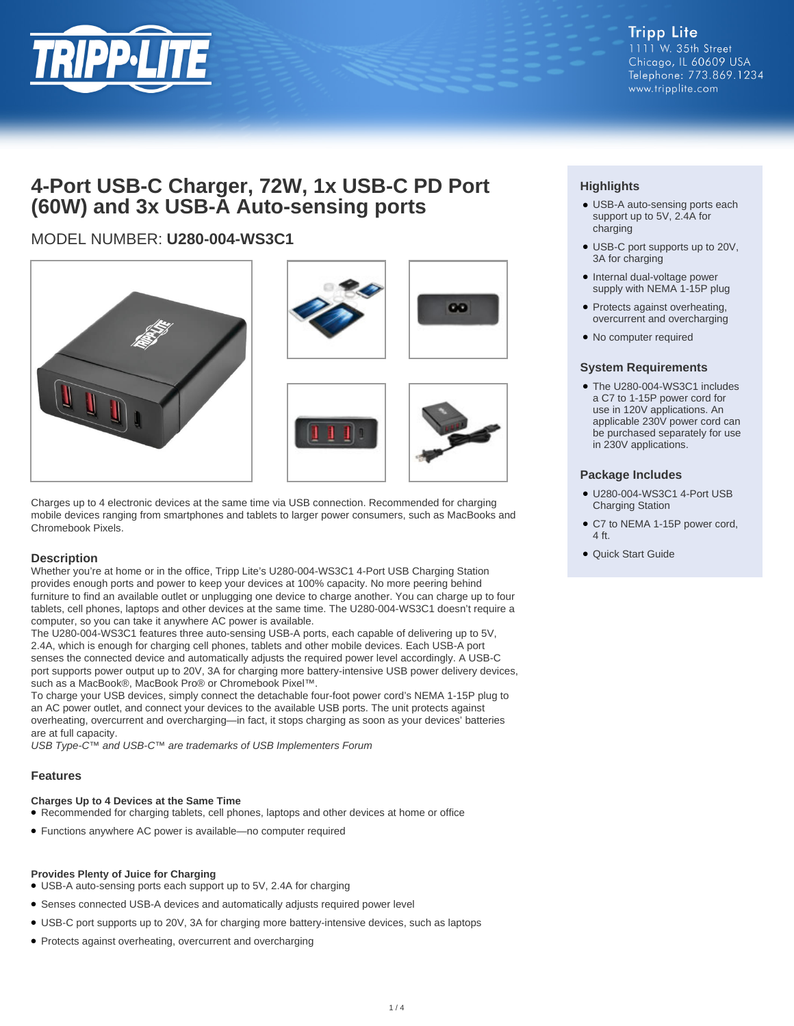

# **4-Port USB-C Charger, 72W, 1x USB-C PD Port (60W) and 3x USB-A Auto-sensing ports**

# MODEL NUMBER: **U280-004-WS3C1**



Charges up to 4 electronic devices at the same time via USB connection. Recommended for charging mobile devices ranging from smartphones and tablets to larger power consumers, such as MacBooks and Chromebook Pixels.

# **Description**

Whether you're at home or in the office, Tripp Lite's U280-004-WS3C1 4-Port USB Charging Station provides enough ports and power to keep your devices at 100% capacity. No more peering behind furniture to find an available outlet or unplugging one device to charge another. You can charge up to four tablets, cell phones, laptops and other devices at the same time. The U280-004-WS3C1 doesn't require a computer, so you can take it anywhere AC power is available.

The U280-004-WS3C1 features three auto-sensing USB-A ports, each capable of delivering up to 5V, 2.4A, which is enough for charging cell phones, tablets and other mobile devices. Each USB-A port senses the connected device and automatically adjusts the required power level accordingly. A USB-C port supports power output up to 20V, 3A for charging more battery-intensive USB power delivery devices, such as a MacBook®, MacBook Pro® or Chromebook Pixel™.

To charge your USB devices, simply connect the detachable four-foot power cord's NEMA 1-15P plug to an AC power outlet, and connect your devices to the available USB ports. The unit protects against overheating, overcurrent and overcharging—in fact, it stops charging as soon as your devices' batteries are at full capacity.

USB Type-C™ and USB-C™ are trademarks of USB Implementers Forum

# **Features**

# **Charges Up to 4 Devices at the Same Time**

- Recommended for charging tablets, cell phones, laptops and other devices at home or office
- Functions anywhere AC power is available—no computer required

#### **Provides Plenty of Juice for Charging**

- USB-A auto-sensing ports each support up to 5V, 2.4A for charging
- Senses connected USB-A devices and automatically adjusts required power level
- USB-C port supports up to 20V, 3A for charging more battery-intensive devices, such as laptops
- Protects against overheating, overcurrent and overcharging

# **Highlights**

- USB-A auto-sensing ports each support up to 5V, 2.4A for charging
- USB-C port supports up to 20V, 3A for charging
- Internal dual-voltage power supply with NEMA 1-15P plug
- Protects against overheating, overcurrent and overcharging
- No computer required

#### **System Requirements**

● The U280-004-WS3C1 includes a C7 to 1-15P power cord for use in 120V applications. An applicable 230V power cord can be purchased separately for use in 230V applications.

### **Package Includes**

- U280-004-WS3C1 4-Port USB Charging Station
- C7 to NEMA 1-15P power cord, 4 ft.
- Quick Start Guide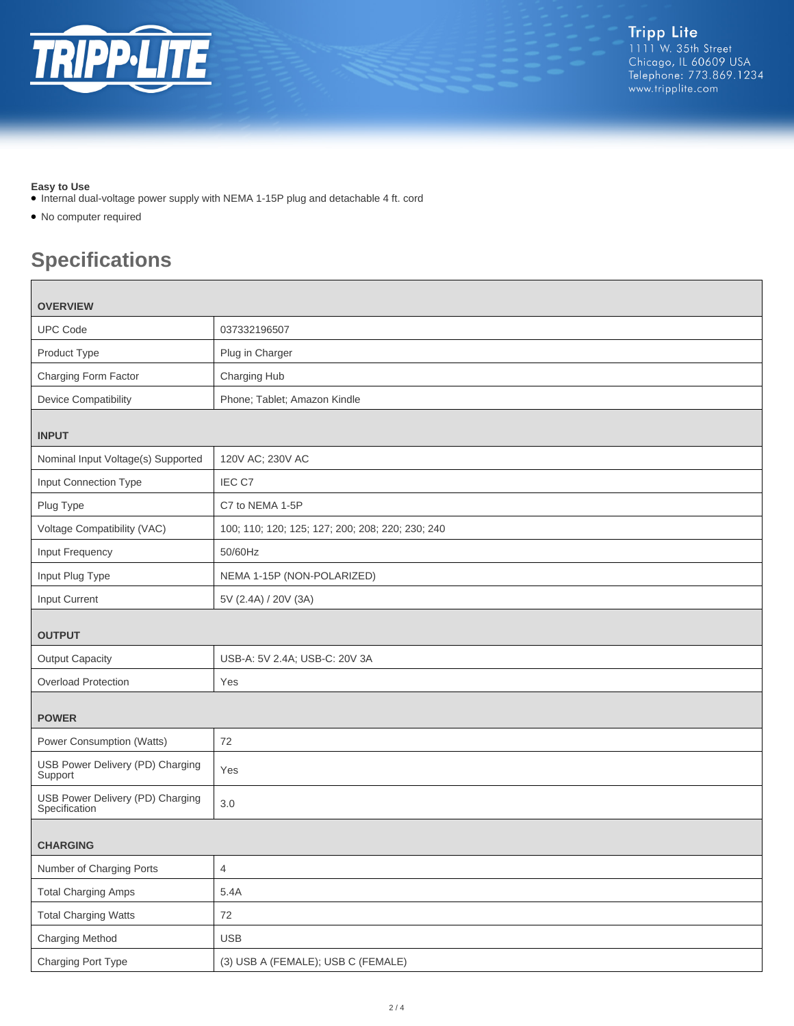

# **Easy to Use**

Г

- Internal dual-voltage power supply with NEMA 1-15P plug and detachable 4 ft. cord
- No computer required

# **Specifications**

| <b>OVERVIEW</b>                                   |                                                  |  |
|---------------------------------------------------|--------------------------------------------------|--|
| <b>UPC Code</b>                                   | 037332196507                                     |  |
| Product Type                                      | Plug in Charger                                  |  |
| Charging Form Factor                              | Charging Hub                                     |  |
| <b>Device Compatibility</b>                       | Phone; Tablet; Amazon Kindle                     |  |
| <b>INPUT</b>                                      |                                                  |  |
| Nominal Input Voltage(s) Supported                | 120V AC; 230V AC                                 |  |
| Input Connection Type                             | IEC C7                                           |  |
| Plug Type                                         | C7 to NEMA 1-5P                                  |  |
| Voltage Compatibility (VAC)                       | 100; 110; 120; 125; 127; 200; 208; 220; 230; 240 |  |
| Input Frequency                                   | 50/60Hz                                          |  |
| Input Plug Type                                   | NEMA 1-15P (NON-POLARIZED)                       |  |
| Input Current                                     | 5V (2.4A) / 20V (3A)                             |  |
| <b>OUTPUT</b>                                     |                                                  |  |
| <b>Output Capacity</b>                            | USB-A: 5V 2.4A; USB-C: 20V 3A                    |  |
| Overload Protection                               | Yes                                              |  |
| <b>POWER</b>                                      |                                                  |  |
| Power Consumption (Watts)                         | 72                                               |  |
| USB Power Delivery (PD) Charging<br>Support       | Yes                                              |  |
| USB Power Delivery (PD) Charging<br>Specification | 3.0                                              |  |
| <b>CHARGING</b>                                   |                                                  |  |
| Number of Charging Ports                          | $\overline{4}$                                   |  |
| <b>Total Charging Amps</b>                        | 5.4A                                             |  |
| <b>Total Charging Watts</b>                       | $72\,$                                           |  |
| Charging Method                                   | <b>USB</b>                                       |  |
| Charging Port Type                                | (3) USB A (FEMALE); USB C (FEMALE)               |  |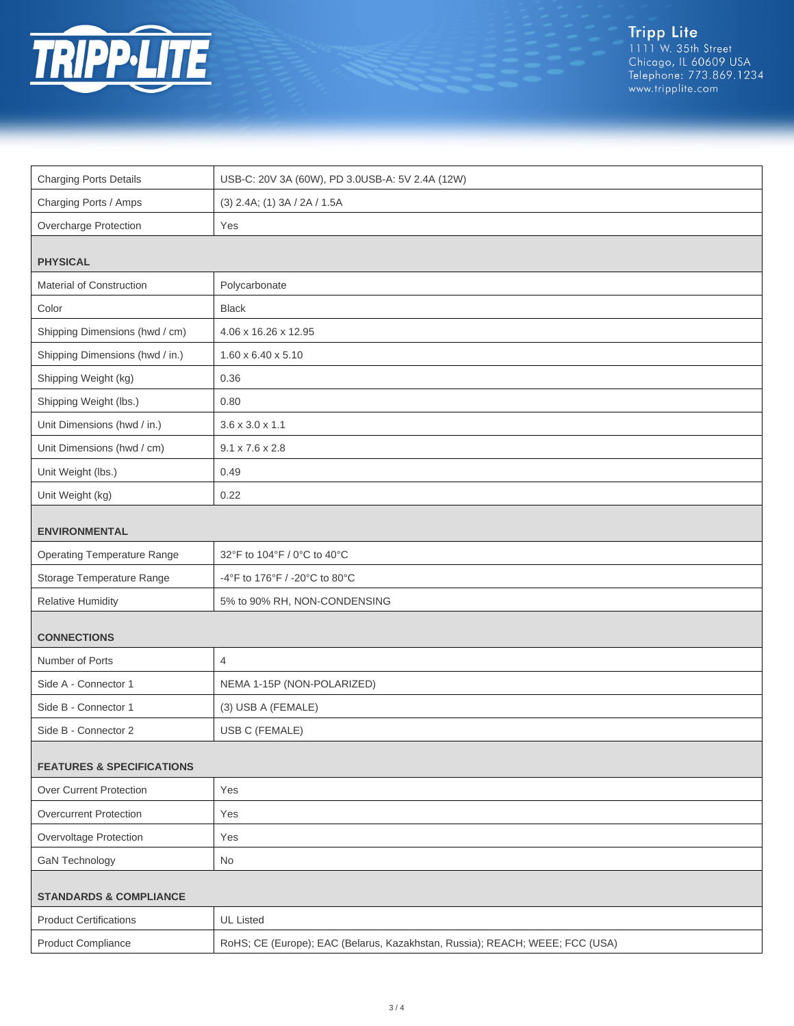

Tripp Lite<br>1111 W. 35th Street<br>Chicago, IL 60609 USA<br>Telephone: 773.869.1234<br>www.tripplite.com

| <b>Charging Ports Details</b>        | USB-C: 20V 3A (60W), PD 3.0USB-A: 5V 2.4A (12W)                              |  |
|--------------------------------------|------------------------------------------------------------------------------|--|
| Charging Ports / Amps                | (3) 2.4A; (1) 3A / 2A / 1.5A                                                 |  |
| Overcharge Protection                | Yes                                                                          |  |
| <b>PHYSICAL</b>                      |                                                                              |  |
| Material of Construction             | Polycarbonate                                                                |  |
| Color                                | <b>Black</b>                                                                 |  |
| Shipping Dimensions (hwd / cm)       | 4.06 x 16.26 x 12.95                                                         |  |
| Shipping Dimensions (hwd / in.)      | 1.60 x 6.40 x 5.10                                                           |  |
| Shipping Weight (kg)                 | 0.36                                                                         |  |
| Shipping Weight (lbs.)               | 0.80                                                                         |  |
| Unit Dimensions (hwd / in.)          | $3.6 \times 3.0 \times 1.1$                                                  |  |
| Unit Dimensions (hwd / cm)           | $9.1 \times 7.6 \times 2.8$                                                  |  |
| Unit Weight (lbs.)                   | 0.49                                                                         |  |
| Unit Weight (kg)                     | 0.22                                                                         |  |
| <b>ENVIRONMENTAL</b>                 |                                                                              |  |
| <b>Operating Temperature Range</b>   | 32°F to 104°F / 0°C to 40°C                                                  |  |
| Storage Temperature Range            | -4°F to 176°F / -20°C to 80°C                                                |  |
| <b>Relative Humidity</b>             | 5% to 90% RH, NON-CONDENSING                                                 |  |
| <b>CONNECTIONS</b>                   |                                                                              |  |
| Number of Ports                      | $\overline{4}$                                                               |  |
| Side A - Connector 1                 | NEMA 1-15P (NON-POLARIZED)                                                   |  |
| Side B - Connector 1                 | (3) USB A (FEMALE)                                                           |  |
| Side B - Connector 2                 | USB C (FEMALE)                                                               |  |
| <b>FEATURES &amp; SPECIFICATIONS</b> |                                                                              |  |
| Over Current Protection              | Yes                                                                          |  |
| <b>Overcurrent Protection</b>        | Yes                                                                          |  |
| Overvoltage Protection               | Yes                                                                          |  |
| GaN Technology                       | No                                                                           |  |
| <b>STANDARDS &amp; COMPLIANCE</b>    |                                                                              |  |
| <b>Product Certifications</b>        | <b>UL Listed</b>                                                             |  |
| <b>Product Compliance</b>            | RoHS; CE (Europe); EAC (Belarus, Kazakhstan, Russia); REACH; WEEE; FCC (USA) |  |